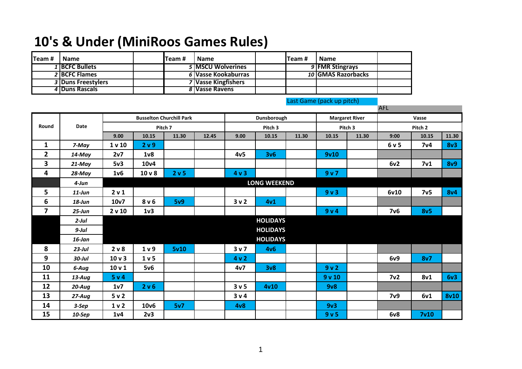## **10's & Under (MiniRoos Games Rules)**

| Team# | <b>Name</b>        | Team # | <b>Name</b>         | ITeam # | <b>Name</b>        |  |
|-------|--------------------|--------|---------------------|---------|--------------------|--|
|       | 1 BCFC Bullets     |        | 5 IMSCU Wolverines  |         | 9 FMR Stingrays    |  |
|       | 2 BCFC Flames      |        | 6 Vasse Kookaburras |         | 10 GMAS Razorbacks |  |
|       | 3 Duns Freestylers |        | 7 Vasse Kingfishers |         |                    |  |
|       | 4 Duns Rascals     |        | 8 Vasse Ravens      |         |                    |  |

|                         |            |                                 |                   |       |             |                  |                 |                       | - 330            | and the same of the con- | <b>AFL</b>         |                  |             |
|-------------------------|------------|---------------------------------|-------------------|-------|-------------|------------------|-----------------|-----------------------|------------------|--------------------------|--------------------|------------------|-------------|
|                         |            | <b>Busselton Churchill Park</b> |                   |       | Dunsborough |                  |                 | <b>Margaret River</b> |                  | Vasse                    |                    |                  |             |
| Date<br>Round           |            | Pitch 7                         |                   |       |             | Pitch 3          |                 |                       | Pitch 3          |                          | Pitch <sub>2</sub> |                  |             |
|                         |            | 9.00                            | 10.15             | 11.30 | 12.45       | 9.00             | 10.15           | 11.30                 | 10.15            | 11.30                    | 9:00               | 10.15            | 11.30       |
| $\mathbf{1}$            | 7-May      | 1 <sub>v</sub> 10               | 2 v 9             |       |             |                  |                 |                       |                  |                          | 6v5                | 7 <sub>v</sub> 4 | 8v3         |
| $\overline{2}$          | $14$ -May  | 2v7                             | 1 <sub>v</sub>    |       |             | 4v <sub>5</sub>  | 3v6             |                       | 9v10             |                          |                    |                  |             |
| 3                       | 21-May     | 5v3                             | 10 <sub>v</sub> 4 |       |             |                  |                 |                       |                  |                          | 6v2                | 7 <sub>v1</sub>  | <b>8v9</b>  |
| 4                       | 28-May     | 1 <sub>v</sub> 6                | 10 <sub>v</sub>   | 2 v 5 |             | 4v3              |                 |                       | 9v7              |                          |                    |                  |             |
|                         | $4$ -Jun   | <b>LONG WEEKEND</b>             |                   |       |             |                  |                 |                       |                  |                          |                    |                  |             |
| 5                       | $11$ -Jun  | 2 v 1                           |                   |       |             |                  |                 |                       | 9v3              |                          | 6v10               | 7v5              | <b>8v4</b>  |
| 6                       | $18$ -Jun  | 10v7                            | 8 <sub>v</sub> 6  | 5v9   |             | 3v2              | 4v1             |                       |                  |                          |                    |                  |             |
| $\overline{\mathbf{z}}$ | $25 - Jun$ | 2 v 10                          | 1 <sub>v</sub> 3  |       |             |                  |                 |                       | 9v4              |                          | 7v6                | 8v5              |             |
|                         | $2$ -Jul   |                                 |                   |       |             |                  | <b>HOLIDAYS</b> |                       |                  |                          |                    |                  |             |
|                         | $9$ -Jul   |                                 |                   |       |             |                  | <b>HOLIDAYS</b> |                       |                  |                          |                    |                  |             |
|                         | $16$ -Jan  |                                 |                   |       |             |                  | <b>HOLIDAYS</b> |                       |                  |                          |                    |                  |             |
| 8                       | $23$ -Jul  | 2 v 8                           | 1 <sub>v</sub>    | 5v10  |             | 3 <sub>v</sub>   | 4v6             |                       |                  |                          |                    |                  |             |
| 9                       | $30$ -Jul  | 10 <sub>v</sub>                 | 1 <sub>v</sub> 5  |       |             | 4v2              |                 |                       |                  |                          | 6v9                | 8v7              |             |
| 10                      | 6-Aug      | 10 <sub>v</sub> 1               | 5v6               |       |             | 4v7              | 3v8             |                       | 9v2              |                          |                    |                  |             |
| 11                      | $13$ -Aug  | 5 v 4                           |                   |       |             |                  |                 |                       | 9v10             |                          | 7 <sub>v2</sub>    | 8v1              | 6v3         |
| 12                      | $20$ -Aug  | 1v7                             | 2 v 6             |       |             | 3 <sub>v</sub> 5 | 4v10            |                       | 9v8              |                          |                    |                  |             |
| 13                      | $27 - Aug$ | 5v2                             |                   |       |             | 3 v 4            |                 |                       |                  |                          | 7 <sub>v</sub> 9   | 6v1              | <b>8v10</b> |
| 14                      | $3-$ Sep   | 1 <sub>v</sub>                  | 10 <sub>v</sub> 6 | 5v7   |             | 4v8              |                 |                       | 9v3              |                          |                    |                  |             |
| 15                      | 10-Sep     | 1 <sub>v</sub> 4                | 2v3               |       |             |                  |                 |                       | 9 <sub>v</sub> 5 |                          | 6v8                | 7v10             |             |

Last Game (pack up pitch)